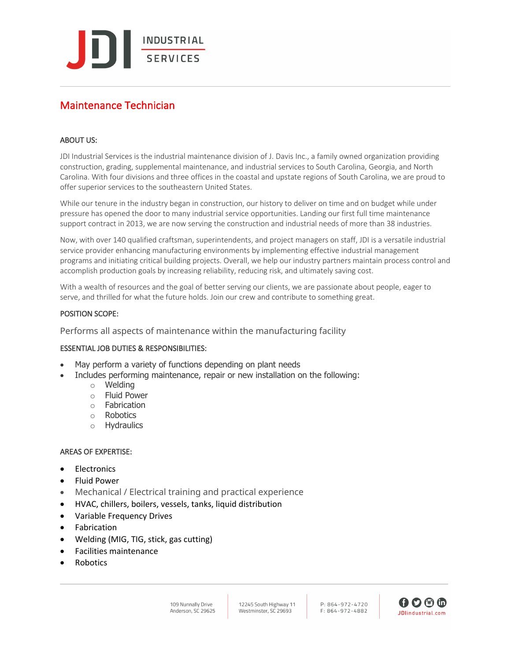**INDUSTRIAL** SERVICES

# Maintenance Technician

# ABOUT US:

JDI Industrial Services is the industrial maintenance division of J. Davis Inc., a family owned organization providing construction, grading, supplemental maintenance, and industrial services to South Carolina, Georgia, and North Carolina. With four divisions and three offices in the coastal and upstate regions of South Carolina, we are proud to offer superior services to the southeastern United States.

While our tenure in the industry began in construction, our history to deliver on time and on budget while under pressure has opened the door to many industrial service opportunities. Landing our first full time maintenance support contract in 2013, we are now serving the construction and industrial needs of more than 38 industries.

Now, with over 140 qualified craftsman, superintendents, and project managers on staff, JDI is a versatile industrial service provider enhancing manufacturing environments by implementing effective industrial management programs and initiating critical building projects. Overall, we help our industry partners maintain process control and accomplish production goals by increasing reliability, reducing risk, and ultimately saving cost.

With a wealth of resources and the goal of better serving our clients, we are passionate about people, eager to serve, and thrilled for what the future holds. Join our crew and contribute to something great.

## POSITION SCOPE:

Performs all aspects of maintenance within the manufacturing facility

## ESSENTIAL JOB DUTIES & RESPONSIBILITIES:

- May perform a variety of functions depending on plant needs
- Includes performing maintenance, repair or new installation on the following:
	- o Welding
	- o Fluid Power
	- o Fabrication
	- o Robotics
	- o Hydraulics

## AREAS OF EXPERTISE:

- **Electronics**
- Fluid Power
- Mechanical / Electrical training and practical experience
- HVAC, chillers, boilers, vessels, tanks, liquid distribution
- Variable Frequency Drives
- **Fabrication**
- Welding (MIG, TIG, stick, gas cutting)
- Facilities maintenance
- **Robotics**